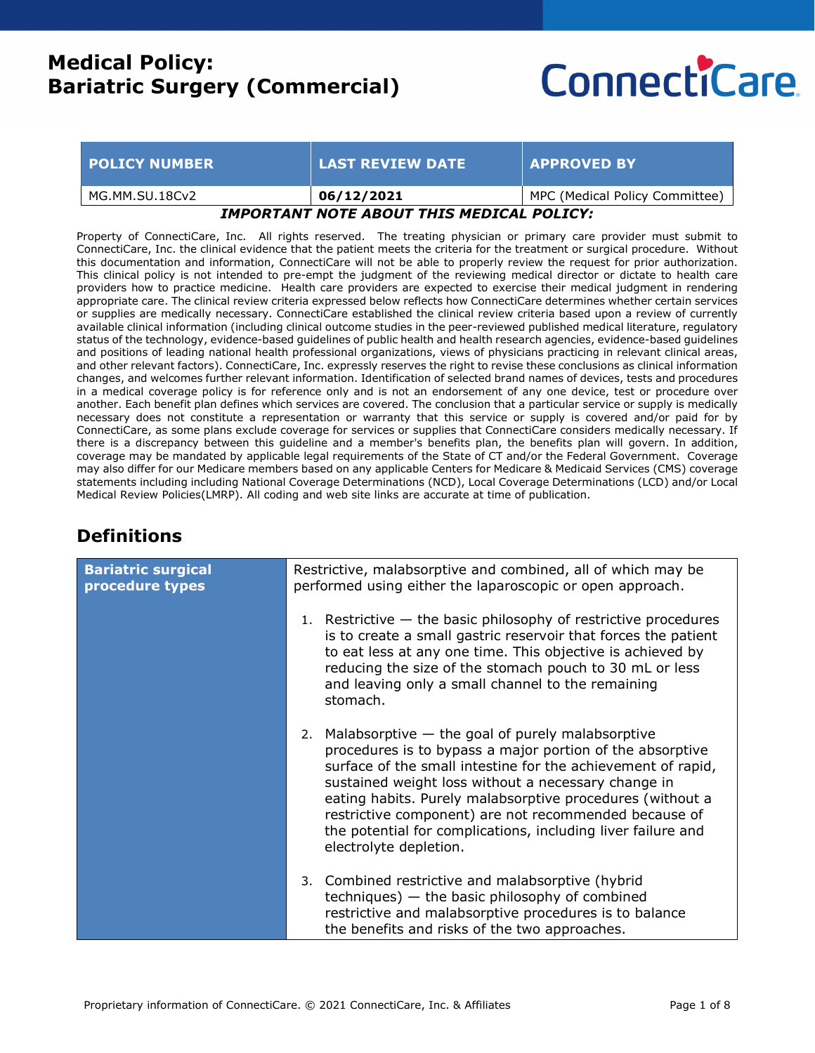# **ConnectiCare**

| <b>POLICY NUMBER</b>                      | LAST REVIEW DATE <b>\</b> | <b>APPROVED BY</b>             |
|-------------------------------------------|---------------------------|--------------------------------|
| MG.MM.SU.18Cv2                            | 06/12/2021                | MPC (Medical Policy Committee) |
| IMPORTANT NOTE ABOUT THIS MEDICAL POLICY: |                           |                                |

Property of ConnectiCare, Inc. All rights reserved. The treating physician or primary care provider must submit to ConnectiCare, Inc. the clinical evidence that the patient meets the criteria for the treatment or surgical procedure. Without this documentation and information, ConnectiCare will not be able to properly review the request for prior authorization. This clinical policy is not intended to pre-empt the judgment of the reviewing medical director or dictate to health care providers how to practice medicine. Health care providers are expected to exercise their medical judgment in rendering appropriate care. The clinical review criteria expressed below reflects how ConnectiCare determines whether certain services or supplies are medically necessary. ConnectiCare established the clinical review criteria based upon a review of currently available clinical information (including clinical outcome studies in the peer-reviewed published medical literature, regulatory status of the technology, evidence-based guidelines of public health and health research agencies, evidence-based guidelines and positions of leading national health professional organizations, views of physicians practicing in relevant clinical areas, and other relevant factors). ConnectiCare, Inc. expressly reserves the right to revise these conclusions as clinical information changes, and welcomes further relevant information. Identification of selected brand names of devices, tests and procedures in a medical coverage policy is for reference only and is not an endorsement of any one device, test or procedure over another. Each benefit plan defines which services are covered. The conclusion that a particular service or supply is medically necessary does not constitute a representation or warranty that this service or supply is covered and/or paid for by ConnectiCare, as some plans exclude coverage for services or supplies that ConnectiCare considers medically necessary. If there is a discrepancy between this guideline and a member's benefits plan, the benefits plan will govern. In addition, coverage may be mandated by applicable legal requirements of the State of CT and/or the Federal Government. Coverage may also differ for our Medicare members based on any applicable Centers for Medicare & Medicaid Services (CMS) coverage statements including including National Coverage Determinations (NCD), Local Coverage Determinations (LCD) and/or Local Medical Review Policies(LMRP). All coding and web site links are accurate at time of publication.

## **Definitions**

| <b>Bariatric surgical</b><br>procedure types | Restrictive, malabsorptive and combined, all of which may be<br>performed using either the laparoscopic or open approach.<br>Restrictive $-$ the basic philosophy of restrictive procedures<br>1.<br>is to create a small gastric reservoir that forces the patient<br>to eat less at any one time. This objective is achieved by<br>reducing the size of the stomach pouch to 30 mL or less<br>and leaving only a small channel to the remaining<br>stomach. |
|----------------------------------------------|---------------------------------------------------------------------------------------------------------------------------------------------------------------------------------------------------------------------------------------------------------------------------------------------------------------------------------------------------------------------------------------------------------------------------------------------------------------|
|                                              | Malabsorptive $-$ the goal of purely malabsorptive<br>2.<br>procedures is to bypass a major portion of the absorptive<br>surface of the small intestine for the achievement of rapid,<br>sustained weight loss without a necessary change in<br>eating habits. Purely malabsorptive procedures (without a<br>restrictive component) are not recommended because of<br>the potential for complications, including liver failure and<br>electrolyte depletion.  |
|                                              | Combined restrictive and malabsorptive (hybrid<br>3.<br>$techniques)$ - the basic philosophy of combined<br>restrictive and malabsorptive procedures is to balance<br>the benefits and risks of the two approaches.                                                                                                                                                                                                                                           |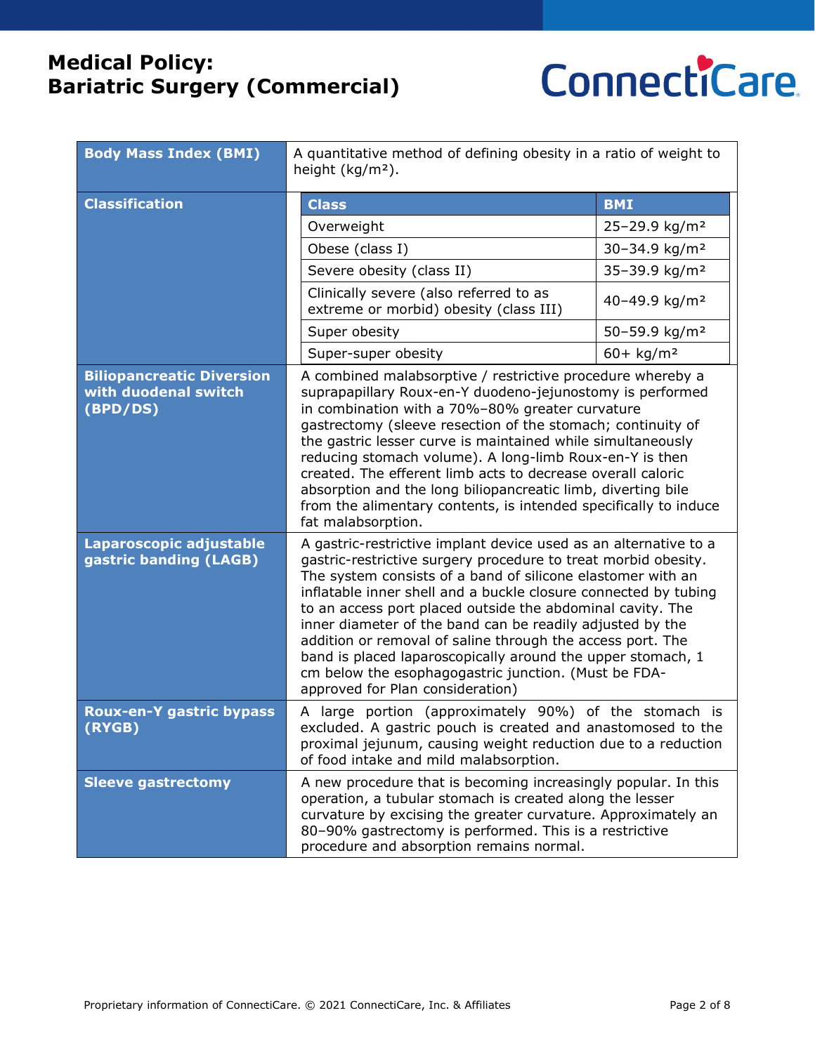

| <b>Body Mass Index (BMI)</b>                                         | A quantitative method of defining obesity in a ratio of weight to<br>height $(kg/m2)$ .                                                                                                                                                                                                                                                                                                                                                                                                                                                                                                                                  |                           |
|----------------------------------------------------------------------|--------------------------------------------------------------------------------------------------------------------------------------------------------------------------------------------------------------------------------------------------------------------------------------------------------------------------------------------------------------------------------------------------------------------------------------------------------------------------------------------------------------------------------------------------------------------------------------------------------------------------|---------------------------|
| <b>Classification</b>                                                | <b>Class</b>                                                                                                                                                                                                                                                                                                                                                                                                                                                                                                                                                                                                             | <b>BMI</b>                |
|                                                                      | Overweight                                                                                                                                                                                                                                                                                                                                                                                                                                                                                                                                                                                                               | 25-29.9 kg/m <sup>2</sup> |
|                                                                      | Obese (class I)                                                                                                                                                                                                                                                                                                                                                                                                                                                                                                                                                                                                          | 30-34.9 kg/m <sup>2</sup> |
|                                                                      | Severe obesity (class II)                                                                                                                                                                                                                                                                                                                                                                                                                                                                                                                                                                                                | 35-39.9 kg/m <sup>2</sup> |
|                                                                      | Clinically severe (also referred to as<br>extreme or morbid) obesity (class III)                                                                                                                                                                                                                                                                                                                                                                                                                                                                                                                                         | 40-49.9 kg/m <sup>2</sup> |
|                                                                      | Super obesity                                                                                                                                                                                                                                                                                                                                                                                                                                                                                                                                                                                                            | 50-59.9 kg/m <sup>2</sup> |
|                                                                      | Super-super obesity                                                                                                                                                                                                                                                                                                                                                                                                                                                                                                                                                                                                      | $60 + kg/m2$              |
| <b>Biliopancreatic Diversion</b><br>with duodenal switch<br>(BPD/DS) | A combined malabsorptive / restrictive procedure whereby a<br>suprapapillary Roux-en-Y duodeno-jejunostomy is performed<br>in combination with a 70%-80% greater curvature<br>gastrectomy (sleeve resection of the stomach; continuity of<br>the gastric lesser curve is maintained while simultaneously<br>reducing stomach volume). A long-limb Roux-en-Y is then<br>created. The efferent limb acts to decrease overall caloric<br>absorption and the long biliopancreatic limb, diverting bile<br>from the alimentary contents, is intended specifically to induce<br>fat malabsorption.                             |                           |
| Laparoscopic adjustable<br>gastric banding (LAGB)                    | A gastric-restrictive implant device used as an alternative to a<br>gastric-restrictive surgery procedure to treat morbid obesity.<br>The system consists of a band of silicone elastomer with an<br>inflatable inner shell and a buckle closure connected by tubing<br>to an access port placed outside the abdominal cavity. The<br>inner diameter of the band can be readily adjusted by the<br>addition or removal of saline through the access port. The<br>band is placed laparoscopically around the upper stomach, 1<br>cm below the esophagogastric junction. (Must be FDA-<br>approved for Plan consideration) |                           |
| Roux-en-Y gastric bypass<br>(RYGB)                                   | A large portion (approximately 90%) of the stomach is<br>excluded. A gastric pouch is created and anastomosed to the<br>proximal jejunum, causing weight reduction due to a reduction<br>of food intake and mild malabsorption.                                                                                                                                                                                                                                                                                                                                                                                          |                           |
| <b>Sleeve gastrectomy</b>                                            | A new procedure that is becoming increasingly popular. In this<br>operation, a tubular stomach is created along the lesser<br>curvature by excising the greater curvature. Approximately an<br>80-90% gastrectomy is performed. This is a restrictive<br>procedure and absorption remains normal.                                                                                                                                                                                                                                                                                                                        |                           |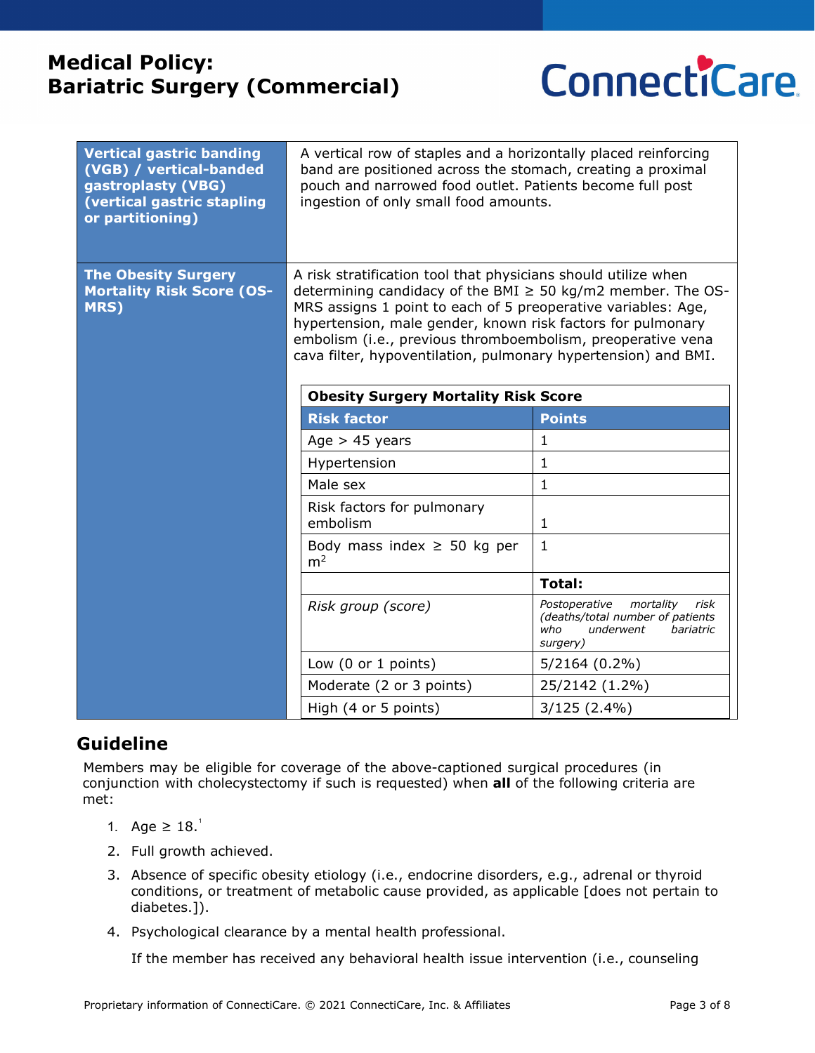

| <b>Vertical gastric banding</b><br>(VGB) / vertical-banded<br>gastroplasty (VBG)<br>(vertical gastric stapling<br>or partitioning) | A vertical row of staples and a horizontally placed reinforcing<br>band are positioned across the stomach, creating a proximal<br>pouch and narrowed food outlet. Patients become full post<br>ingestion of only small food amounts.                                                                                                                                                                                                               |                                                                                                                     |
|------------------------------------------------------------------------------------------------------------------------------------|----------------------------------------------------------------------------------------------------------------------------------------------------------------------------------------------------------------------------------------------------------------------------------------------------------------------------------------------------------------------------------------------------------------------------------------------------|---------------------------------------------------------------------------------------------------------------------|
| <b>The Obesity Surgery</b><br><b>Mortality Risk Score (OS-</b><br>MRS)                                                             | A risk stratification tool that physicians should utilize when<br>determining candidacy of the BMI $\geq$ 50 kg/m2 member. The OS-<br>MRS assigns 1 point to each of 5 preoperative variables: Age,<br>hypertension, male gender, known risk factors for pulmonary<br>embolism (i.e., previous thromboembolism, preoperative vena<br>cava filter, hypoventilation, pulmonary hypertension) and BMI.<br><b>Obesity Surgery Mortality Risk Score</b> |                                                                                                                     |
|                                                                                                                                    | <b>Risk factor</b>                                                                                                                                                                                                                                                                                                                                                                                                                                 | <b>Points</b>                                                                                                       |
|                                                                                                                                    | Age $> 45$ years                                                                                                                                                                                                                                                                                                                                                                                                                                   | $\mathbf{1}$                                                                                                        |
|                                                                                                                                    | Hypertension                                                                                                                                                                                                                                                                                                                                                                                                                                       | $\mathbf 1$                                                                                                         |
|                                                                                                                                    | Male sex                                                                                                                                                                                                                                                                                                                                                                                                                                           | $\mathbf{1}$                                                                                                        |
|                                                                                                                                    | Risk factors for pulmonary<br>embolism                                                                                                                                                                                                                                                                                                                                                                                                             | 1                                                                                                                   |
|                                                                                                                                    | Body mass index $\geq$ 50 kg per<br>m <sup>2</sup>                                                                                                                                                                                                                                                                                                                                                                                                 | $\mathbf{1}$                                                                                                        |
|                                                                                                                                    |                                                                                                                                                                                                                                                                                                                                                                                                                                                    | <b>Total:</b>                                                                                                       |
|                                                                                                                                    | Risk group (score)                                                                                                                                                                                                                                                                                                                                                                                                                                 | Postoperative<br>mortality<br>risk<br>(deaths/total number of patients<br>who<br>underwent<br>bariatric<br>surgery) |
|                                                                                                                                    | Low (0 or 1 points)                                                                                                                                                                                                                                                                                                                                                                                                                                | $5/2164(0.2\%)$                                                                                                     |
|                                                                                                                                    | Moderate (2 or 3 points)                                                                                                                                                                                                                                                                                                                                                                                                                           | 25/2142 (1.2%)                                                                                                      |
|                                                                                                                                    | High (4 or 5 points)                                                                                                                                                                                                                                                                                                                                                                                                                               | $3/125(2.4\%)$                                                                                                      |

## **Guideline**

Members may be eligible for coverage of the above-captioned surgical procedures (in conjunction with cholecystectomy if such is requested) when **all** of the following criteria are met:

- 1[.](#page-4-0) Age ≥  $18.<sup>1</sup>$
- 2. Full growth achieved.
- 3. Absence of specific obesity etiology (i.e., endocrine disorders, e.g., adrenal or thyroid conditions, or treatment of metabolic cause provided, as applicable [does not pertain to diabetes.]).
- 4. Psychological clearance by a mental health professional.

If the member has received any behavioral health issue intervention (i.e., counseling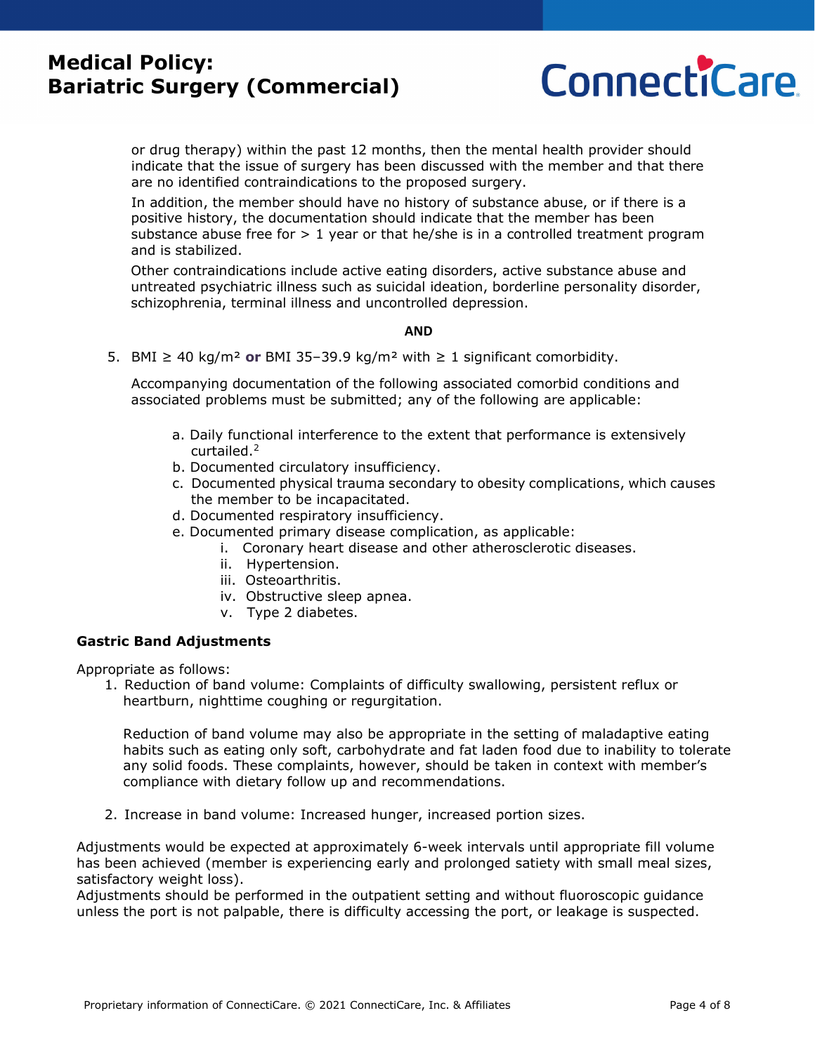

or drug therapy) within the past 12 months, then the mental health provider should indicate that the issue of surgery has been discussed with the member and that there are no identified contraindications to the proposed surgery.

In addition, the member should have no history of substance abuse, or if there is a positive history, the documentation should indicate that the member has been substance abuse free for  $> 1$  year or that he/she is in a controlled treatment program and is stabilized.

Other contraindications include active eating disorders, active substance abuse and untreated psychiatric illness such as suicidal ideation, borderline personality disorder, schizophrenia, terminal illness and uncontrolled depression.

#### **AND**

5. BMI ≥ 40 kg/m² **or** BMI 35–39.9 kg/m² with ≥ 1 significant comorbidity.

Accompanying documentation of the following associated comorbid conditions and associated problems must be submitted; any of the following are applicable:

- a. Daily functional interference to the extent that performance is extensively curtailed.2
- b. Documented circulatory insufficiency.
- c. Documented physical trauma secondary to obesity complications, which causes the member to be incapacitated.
- d. Documented respiratory insufficiency.
- e. Documented primary disease complication, as applicable:
	- i. Coronary heart disease and other atherosclerotic diseases.
	- ii. Hypertension.
	- iii. Osteoarthritis.
	- iv. Obstructive sleep apnea.
	- v. Type 2 diabetes.

#### **Gastric Band Adjustments**

Appropriate as follows:

 1. Reduction of band volume: Complaints of difficulty swallowing, persistent reflux or heartburn, nighttime coughing or regurgitation.

 Reduction of band volume may also be appropriate in the setting of maladaptive eating habits such as eating only soft, carbohydrate and fat laden food due to inability to tolerate any solid foods. These complaints, however, should be taken in context with member's compliance with dietary follow up and recommendations.

2. Increase in band volume: Increased hunger, increased portion sizes.

Adjustments would be expected at approximately 6-week intervals until appropriate fill volume has been achieved (member is experiencing early and prolonged satiety with small meal sizes, satisfactory weight loss).

Adjustments should be performed in the outpatient setting and without fluoroscopic guidance unless the port is not palpable, there is difficulty accessing the port, or leakage is suspected.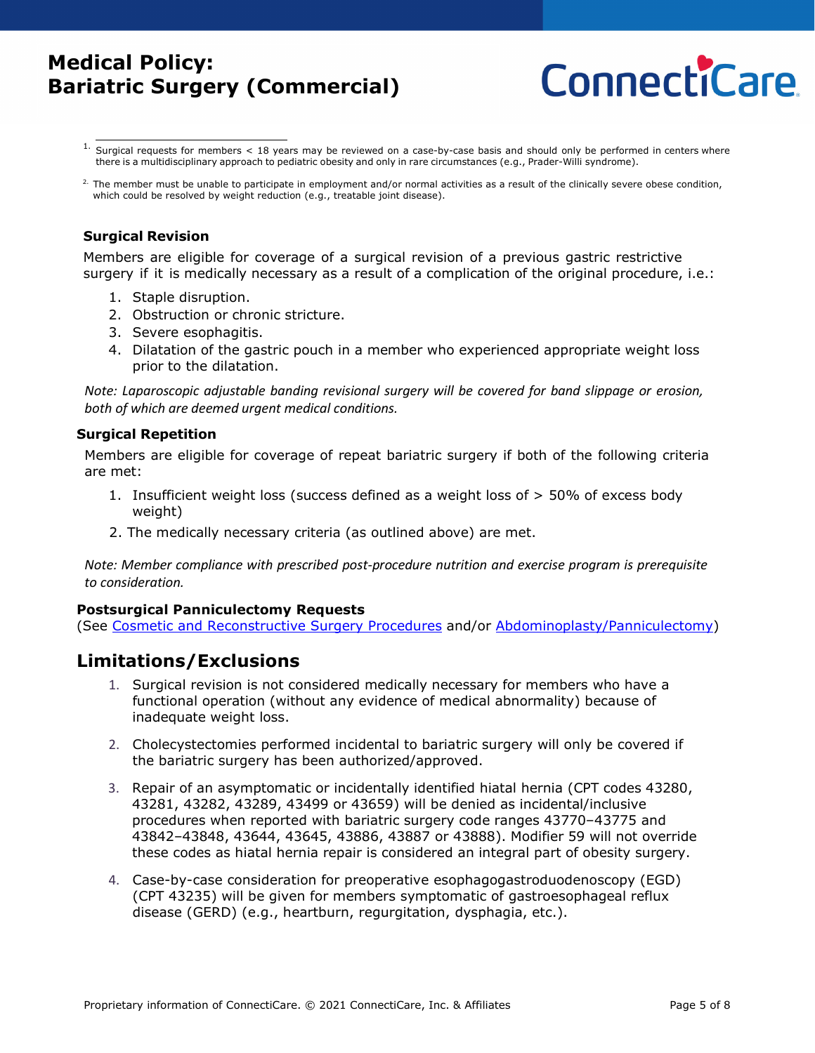

 $1.$  Surgical requests for members < 18 years may be reviewed on a case-by-case basis and should only be performed in centers where there is a multidisciplinary approach to pediatric obesity and only in rare circumstances (e.g., Prader-Willi syndrome).

#### **Surgical Revision**

Members are eligible for coverage of a surgical revision of a previous gastric restrictive surgery if it is medically necessary as a result of a complication of the original procedure, i.e.:

- 1. Staple disruption.
- 2. Obstruction or chronic stricture.
- 3. Severe esophagitis.
- 4. Dilatation of the gastric pouch in a member who experienced appropriate weight loss prior to the dilatation.

*Note: Laparoscopic adjustable banding revisional surgery will be covered for band slippage or erosion, both of which are deemed urgent medical conditions.*

#### **Surgical Repetition**

Members are eligible for coverage of repeat bariatric surgery if both of the following criteria are met:

- 1. Insufficient weight loss (success defined as a weight loss of > 50% of excess body weight)
- 2. The medically necessary criteria (as outlined above) are met.

*Note: Member compliance with prescribed post-procedure nutrition and exercise program is prerequisite to consideration.*

#### **Postsurgical Panniculectomy Requests**

(See [Cosmetic and Reconstructive Surgery Procedures](https://www.connecticare.com/content/dam/connecticare/pdfs/providers/our-policies/medical/commercial/Cosmetic-and-Reconstructive-Surgery-Procedures.pdf) and/or [Abdominoplasty/Panniculectomy\)](https://www.connecticare.com/content/dam/connecticare/pdfs/providers/our-policies/medical/commercial/Abdominoplasty-Panniculectomy.pdf)

## <span id="page-4-0"></span>**Limitations/Exclusions**

- 1. Surgical revision is not considered medically necessary for members who have a functional operation (without any evidence of medical abnormality) because of inadequate weight loss.
- 2. Cholecystectomies performed incidental to bariatric surgery will only be covered if the bariatric surgery has been authorized/approved.
- 3. Repair of an asymptomatic or incidentally identified hiatal hernia (CPT codes 43280, 43281, 43282, 43289, 43499 or 43659) will be denied as incidental/inclusive procedures when reported with bariatric surgery code ranges 43770–43775 and 43842–43848, 43644, 43645, 43886, 43887 or 43888). Modifier 59 will not override these codes as hiatal hernia repair is considered an integral part of obesity surgery.
- 4. Case-by-case consideration for preoperative esophagogastroduodenoscopy (EGD) (CPT 43235) will be given for members symptomatic of gastroesophageal reflux disease (GERD) (e.g., heartburn, regurgitation, dysphagia, etc.).

<sup>&</sup>lt;sup>2.</sup> The member must be unable to participate in employment and/or normal activities as a result of the clinically severe obese condition, which could be resolved by weight reduction (e.g., treatable joint disease).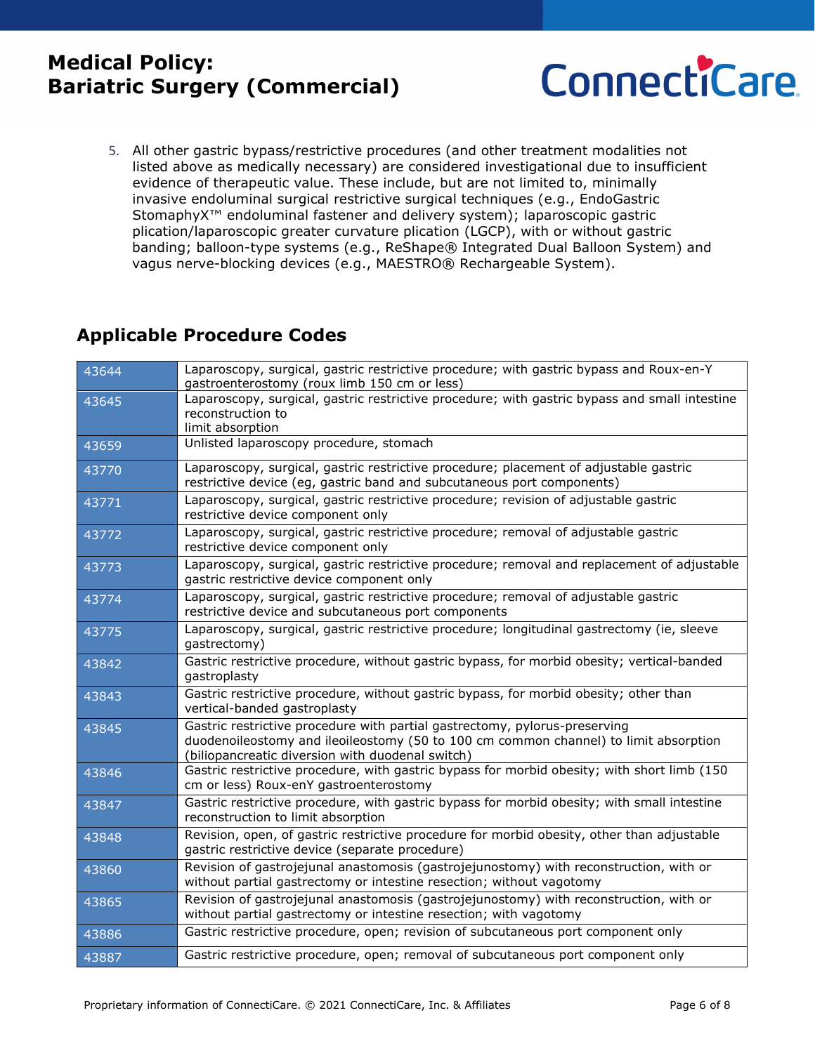

5. All other gastric bypass/restrictive procedures (and other treatment modalities not listed above as medically necessary) are considered investigational due to insufficient evidence of therapeutic value. These include, but are not limited to, minimally invasive endoluminal surgical restrictive surgical techniques (e.g., EndoGastric StomaphyX™ endoluminal fastener and delivery system); laparoscopic gastric plication/laparoscopic greater curvature plication (LGCP), with or without gastric banding; balloon-type systems (e.g., ReShape® Integrated Dual Balloon System) and vagus nerve-blocking devices (e.g., MAESTRO® Rechargeable System).

## **Applicable Procedure Codes**

| 43644 | Laparoscopy, surgical, gastric restrictive procedure; with gastric bypass and Roux-en-Y<br>gastroenterostomy (roux limb 150 cm or less)                            |
|-------|--------------------------------------------------------------------------------------------------------------------------------------------------------------------|
| 43645 | Laparoscopy, surgical, gastric restrictive procedure; with gastric bypass and small intestine                                                                      |
|       | reconstruction to<br>limit absorption                                                                                                                              |
| 43659 | Unlisted laparoscopy procedure, stomach                                                                                                                            |
|       | Laparoscopy, surgical, gastric restrictive procedure; placement of adjustable gastric                                                                              |
| 43770 | restrictive device (eg, gastric band and subcutaneous port components)                                                                                             |
| 43771 | Laparoscopy, surgical, gastric restrictive procedure; revision of adjustable gastric<br>restrictive device component only                                          |
| 43772 | Laparoscopy, surgical, gastric restrictive procedure; removal of adjustable gastric<br>restrictive device component only                                           |
| 43773 | Laparoscopy, surgical, gastric restrictive procedure; removal and replacement of adjustable                                                                        |
|       | gastric restrictive device component only                                                                                                                          |
| 43774 | Laparoscopy, surgical, gastric restrictive procedure; removal of adjustable gastric<br>restrictive device and subcutaneous port components                         |
| 43775 | Laparoscopy, surgical, gastric restrictive procedure; longitudinal gastrectomy (ie, sleeve<br>qastrectomy)                                                         |
| 43842 | Gastric restrictive procedure, without gastric bypass, for morbid obesity; vertical-banded<br>gastroplasty                                                         |
| 43843 | Gastric restrictive procedure, without gastric bypass, for morbid obesity; other than<br>vertical-banded gastroplasty                                              |
| 43845 | Gastric restrictive procedure with partial gastrectomy, pylorus-preserving<br>duodenoileostomy and ileoileostomy (50 to 100 cm common channel) to limit absorption |
|       | (biliopancreatic diversion with duodenal switch)                                                                                                                   |
| 43846 | Gastric restrictive procedure, with gastric bypass for morbid obesity; with short limb (150<br>cm or less) Roux-enY gastroenterostomy                              |
| 43847 | Gastric restrictive procedure, with gastric bypass for morbid obesity; with small intestine<br>reconstruction to limit absorption                                  |
| 43848 | Revision, open, of gastric restrictive procedure for morbid obesity, other than adjustable<br>gastric restrictive device (separate procedure)                      |
| 43860 | Revision of gastrojejunal anastomosis (gastrojejunostomy) with reconstruction, with or<br>without partial gastrectomy or intestine resection; without vagotomy     |
| 43865 | Revision of gastrojejunal anastomosis (gastrojejunostomy) with reconstruction, with or<br>without partial gastrectomy or intestine resection; with vagotomy        |
| 43886 | Gastric restrictive procedure, open; revision of subcutaneous port component only                                                                                  |
| 43887 | Gastric restrictive procedure, open; removal of subcutaneous port component only                                                                                   |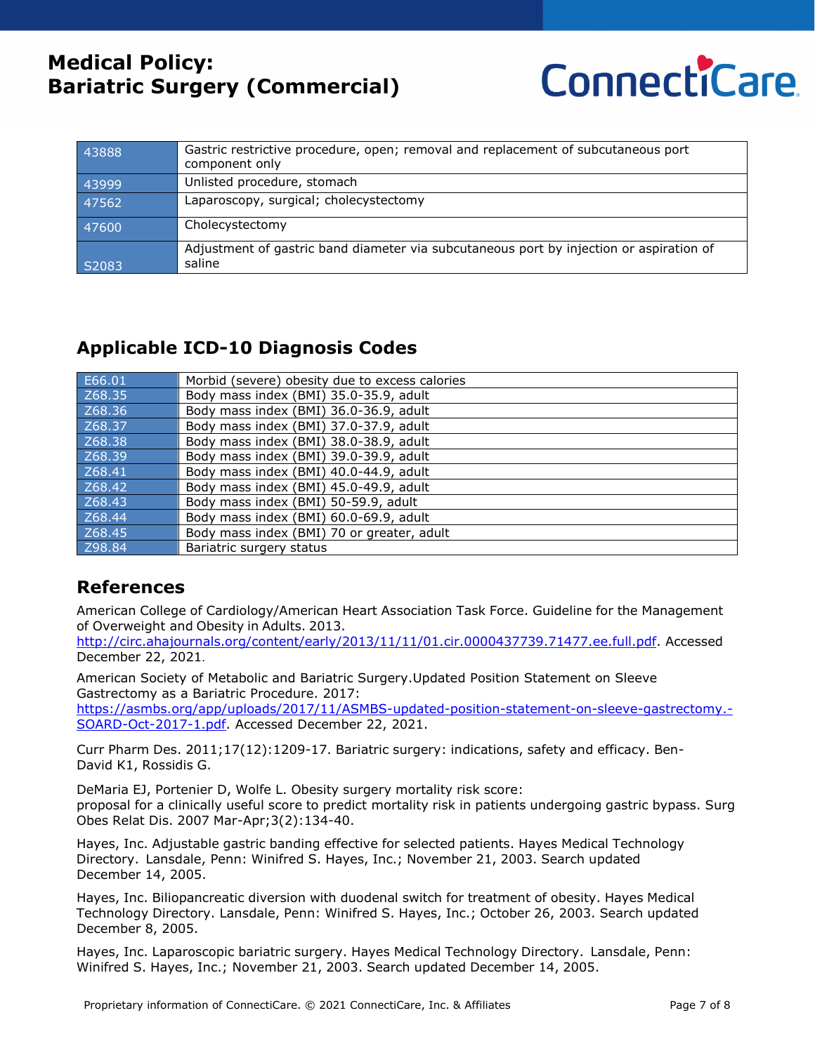

| 43888 | Gastric restrictive procedure, open; removal and replacement of subcutaneous port<br>component only |
|-------|-----------------------------------------------------------------------------------------------------|
| 43999 | Unlisted procedure, stomach                                                                         |
| 47562 | Laparoscopy, surgical; cholecystectomy                                                              |
| 47600 | Cholecystectomy                                                                                     |
| S2083 | Adjustment of gastric band diameter via subcutaneous port by injection or aspiration of<br>saline   |

## **Applicable ICD-10 Diagnosis Codes**

| E66.01 | Morbid (severe) obesity due to excess calories |
|--------|------------------------------------------------|
| Z68.35 | Body mass index (BMI) 35.0-35.9, adult         |
| Z68.36 | Body mass index (BMI) 36.0-36.9, adult         |
| Z68.37 | Body mass index (BMI) 37.0-37.9, adult         |
| Z68.38 | Body mass index (BMI) 38.0-38.9, adult         |
| Z68.39 | Body mass index (BMI) 39.0-39.9, adult         |
| Z68.41 | Body mass index (BMI) 40.0-44.9, adult         |
| Z68.42 | Body mass index (BMI) 45.0-49.9, adult         |
| Z68.43 | Body mass index (BMI) 50-59.9, adult           |
| Z68.44 | Body mass index (BMI) 60.0-69.9, adult         |
| Z68.45 | Body mass index (BMI) 70 or greater, adult     |
| Z98.84 | Bariatric surgery status                       |

## **References**

American College of Cardiology/American Heart Association Task Force. Guideline for the Management of Overweight and Obesity in Adults. 2013.

[http://circ.ahajournals.org/content/early/2013/11/11/01.cir.0000437739.71477.ee.full.pdf.](http://circ.ahajournals.org/content/early/2013/11/11/01.cir.0000437739.71477.ee.full.pdf) Accessed December 22, 2021.

American Society of Metabolic and Bariatric Surgery.Updated Position Statement on Sleeve Gastrectomy as a Bariatric Procedure. 2017:

[https://asmbs.org/app/uploads/2017/11/ASMBS-updated-position-statement-on-sleeve-gastrectomy.-](https://asmbs.org/app/uploads/2017/11/ASMBS-updated-position-statement-on-sleeve-gastrectomy.-SOARD-Oct-2017-1.pdf) [SOARD-Oct-2017-1.pdf.](https://asmbs.org/app/uploads/2017/11/ASMBS-updated-position-statement-on-sleeve-gastrectomy.-SOARD-Oct-2017-1.pdf) Accessed December 22, 2021.

Curr Pharm Des. 2011;17(12):1209-17. Bariatric surgery: indications, safety and efficacy. Ben-David K1, Rossidis G.

DeMaria EJ, Portenier D, Wolfe L. Obesity surgery mortality risk score: proposal for a clinically useful score to predict mortality risk in patients undergoing gastric bypass. Surg Obes Relat Dis. 2007 Mar-Apr;3(2):134-40.

Hayes, Inc. Adjustable gastric banding effective for selected patients. Hayes Medical Technology Directory. Lansdale, Penn: Winifred S. Hayes, Inc.; November 21, 2003. Search updated December 14, 2005.

Hayes, Inc. Biliopancreatic diversion with duodenal switch for treatment of obesity. Hayes Medical Technology Directory. Lansdale, Penn: Winifred S. Hayes, Inc.; October 26, 2003. Search updated December 8, 2005.

Hayes, Inc. Laparoscopic bariatric surgery. Hayes Medical Technology Directory. Lansdale, Penn: Winifred S. Hayes, Inc.; November 21, 2003. Search updated December 14, 2005.